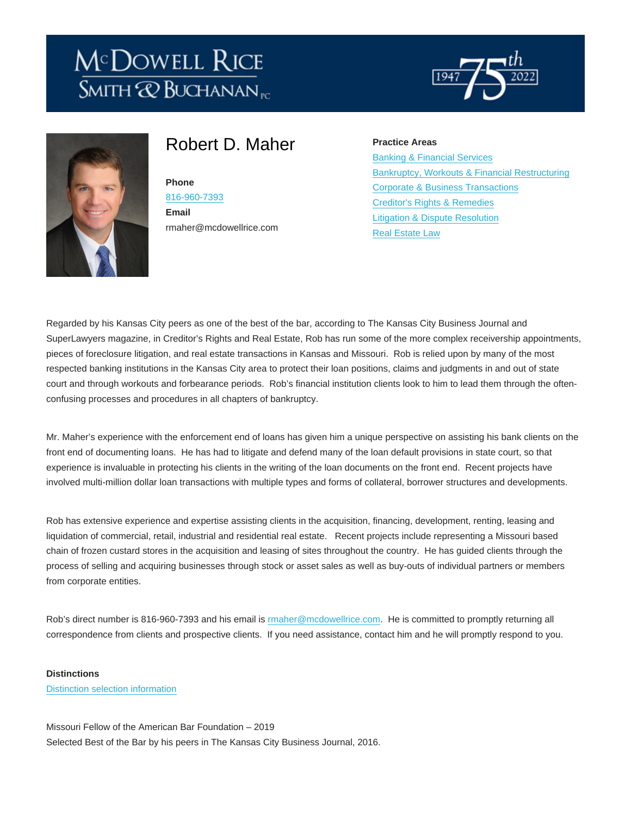# Robert D. Maher

#### Phone

[816-960-7393](tel:816-960-7393) Email rmaher@mcdowellrice.com

# Practice Areas

[Banking & Financial Services](https://mcdowellrice.com/index.php/practice-areas/banking-financial-services) [Bankruptcy, Workouts & Financial Restructuring](https://mcdowellrice.com/index.php/practice-areas/bankruptcy-workouts-financial-restructuring) [Corporate & Business Transactions](https://mcdowellrice.com/index.php/practice-areas/corporate-business-transactions) [Creditor's Rights & Remedies](https://mcdowellrice.com/index.php/practice-areas/creditors-rights-remedies) [Litigation & Dispute Resolution](https://mcdowellrice.com/index.php/practice-areas/litigation-dispute-resolution) [Real Estate Law](https://mcdowellrice.com/index.php/practice-areas/real-estate-law)

Regarded by his Kansas City peers as one of the best of the bar, according to The Kansas City Business Journal and SuperLawyers magazine, in Creditor's Rights and Real Estate, Rob has run some of the more complex receivership appointments, pieces of foreclosure litigation, and real estate transactions in Kansas and Missouri. Rob is relied upon by many of the most respected banking institutions in the Kansas City area to protect their loan positions, claims and judgments in and out of state court and through workouts and forbearance periods. Rob's financial institution clients look to him to lead them through the oftenconfusing processes and procedures in all chapters of bankruptcy.

Mr. Maher's experience with the enforcement end of loans has given him a unique perspective on assisting his bank clients on the front end of documenting loans. He has had to litigate and defend many of the loan default provisions in state court, so that experience is invaluable in protecting his clients in the writing of the loan documents on the front end. Recent projects have involved multi-million dollar loan transactions with multiple types and forms of collateral, borrower structures and developments.

Rob has extensive experience and expertise assisting clients in the acquisition, financing, development, renting, leasing and liquidation of commercial, retail, industrial and residential real estate. Recent projects include representing a Missouri based chain of frozen custard stores in the acquisition and leasing of sites throughout the country. He has guided clients through the process of selling and acquiring businesses through stock or asset sales as well as buy-outs of individual partners or members from corporate entities.

Rob's direct number is 816-960-7393 and his email is [rmaher@mcdowellrice.com](mailto:rmaher@mcdowellrice.com). He is committed to promptly returning all correspondence from clients and prospective clients. If you need assistance, contact him and he will promptly respond to you.

**Distinctions** [Distinction selection information](http://mcdowellrice.com/selection-information)

Missouri Fellow of the American Bar Foundation – 2019 Selected Best of the Bar by his peers in The Kansas City Business Journal, 2016.